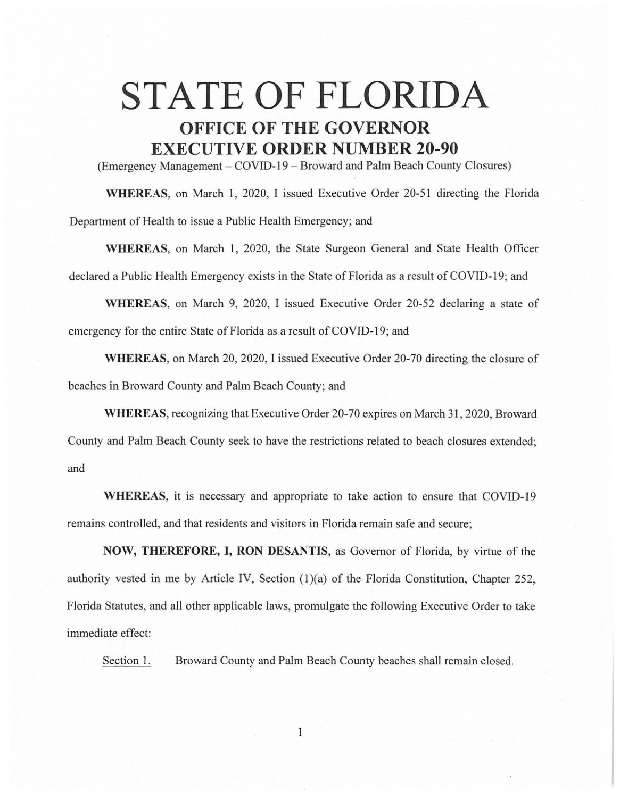## **STATE OF FLORIDA OFFICE OF THE GOVERNOR EXECUTIVE ORDER NUMBER 20-90**

(Emergency Management - COVID-19 - Broward and Palm Beach County Closures)

**WHEREAS,** on March 1, 2020, I issued Executive Order 20-51 directing the Florida Department of Health to issue a Public Health Emergency; and

**WHEREAS,** on March I, 2020, the State Surgeon General and State Health Officer declared a Public Health Emergency exists in the State of Florida as a result of COVID-19; and

**WHEREAS,** on March 9, 2020, I issued Executive Order 20-52 declaring a state of emergency for the entire State of Florida as a result of COVID-19; and

**WHEREAS,** on March 20, 2020, I issued Executive Order 20-70 directing the closure of beaches in Broward County and Palm Beach County; and

**WHEREAS,** recognizing that Executive Order 20-70 expires on March 31, 2020, Broward County and Palm Beach County seek to have the restrictions related to beach closures extended; and

**WHEREAS,** it is necessary and appropriate to take action to ensure that COVID-19 remains controlled, and that residents and visitors in Florida remain safe and secure;

**NOW, THEREFORE, I, RON DESANTIS,** as Governor of Florida, by virtue of the authority vested in me by Article IV, Section  $(1)(a)$  of the Florida Constitution, Chapter 252, Florida Statutes, and all other applicable laws, promulgate the following Executive Order to take immediate effect:

Section 1. Broward County and Palm Beach County beaches shall remain closed.